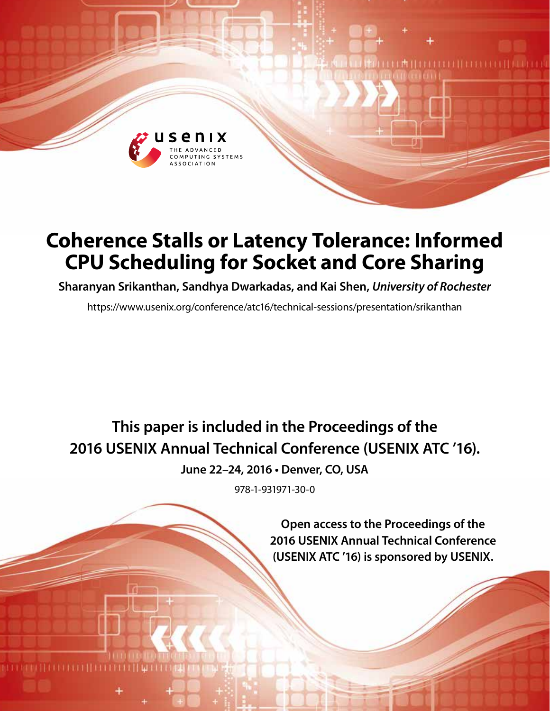

# **Coherence Stalls or Latency Tolerance: Informed CPU Scheduling for Socket and Core Sharing**

**Sharanyan Srikanthan, Sandhya Dwarkadas, and Kai Shen,** *University of Rochester*

https://www.usenix.org/conference/atc16/technical-sessions/presentation/srikanthan

**This paper is included in the Proceedings of the 2016 USENIX Annual Technical Conference (USENIX ATC '16).**

**June 22–24, 2016 • Denver, CO, USA**

978-1-931971-30-0

**Open access to the Proceedings of the 2016 USENIX Annual Technical Conference (USENIX ATC '16) is sponsored by USENIX.**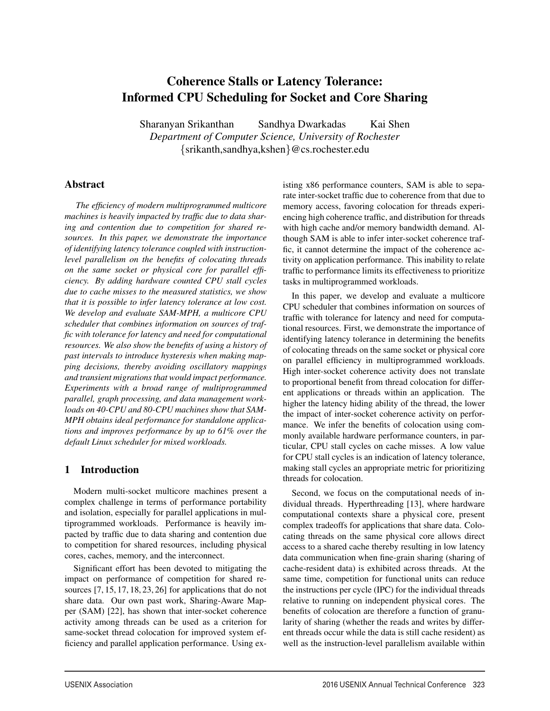## Coherence Stalls or Latency Tolerance: Informed CPU Scheduling for Socket and Core Sharing

Sharanyan Srikanthan Sandhya Dwarkadas Kai Shen *Department of Computer Science, University of Rochester* {srikanth,sandhya,kshen}@cs.rochester.edu

1

## Abstract

*The efficiency of modern multiprogrammed multicore machines is heavily impacted by traffic due to data sharing and contention due to competition for shared resources. In this paper, we demonstrate the importance of identifying latency tolerance coupled with instructionlevel parallelism on the benefits of colocating threads on the same socket or physical core for parallel efficiency. By adding hardware counted CPU stall cycles due to cache misses to the measured statistics, we show that it is possible to infer latency tolerance at low cost. We develop and evaluate SAM-MPH, a multicore CPU scheduler that combines information on sources of traffic with tolerance for latency and need for computational resources. We also show the benefits of using a history of past intervals to introduce hysteresis when making mapping decisions, thereby avoiding oscillatory mappings and transient migrations that would impact performance. Experiments with a broad range of multiprogrammed parallel, graph processing, and data management workloads on 40-CPU and 80-CPU machines show that SAM-MPH obtains ideal performance for standalone applications and improves performance by up to 61% over the default Linux scheduler for mixed workloads.*

## 1 Introduction

Modern multi-socket multicore machines present a complex challenge in terms of performance portability and isolation, especially for parallel applications in multiprogrammed workloads. Performance is heavily impacted by traffic due to data sharing and contention due to competition for shared resources, including physical cores, caches, memory, and the interconnect.

Significant effort has been devoted to mitigating the impact on performance of competition for shared resources [7, 15, 17, 18, 23, 26] for applications that do not share data. Our own past work, Sharing-Aware Mapper (SAM) [22], has shown that inter-socket coherence activity among threads can be used as a criterion for same-socket thread colocation for improved system efficiency and parallel application performance. Using existing x86 performance counters, SAM is able to separate inter-socket traffic due to coherence from that due to memory access, favoring colocation for threads experiencing high coherence traffic, and distribution for threads with high cache and/or memory bandwidth demand. Although SAM is able to infer inter-socket coherence traffic, it cannot determine the impact of the coherence activity on application performance. This inability to relate traffic to performance limits its effectiveness to prioritize tasks in multiprogrammed workloads.

In this paper, we develop and evaluate a multicore CPU scheduler that combines information on sources of traffic with tolerance for latency and need for computational resources. First, we demonstrate the importance of identifying latency tolerance in determining the benefits of colocating threads on the same socket or physical core on parallel efficiency in multiprogrammed workloads. High inter-socket coherence activity does not translate to proportional benefit from thread colocation for different applications or threads within an application. The higher the latency hiding ability of the thread, the lower the impact of inter-socket coherence activity on performance. We infer the benefits of colocation using commonly available hardware performance counters, in particular, CPU stall cycles on cache misses. A low value for CPU stall cycles is an indication of latency tolerance, making stall cycles an appropriate metric for prioritizing threads for colocation.

Second, we focus on the computational needs of individual threads. Hyperthreading [13], where hardware computational contexts share a physical core, present complex tradeoffs for applications that share data. Colocating threads on the same physical core allows direct access to a shared cache thereby resulting in low latency data communication when fine-grain sharing (sharing of cache-resident data) is exhibited across threads. At the same time, competition for functional units can reduce the instructions per cycle (IPC) for the individual threads relative to running on independent physical cores. The benefits of colocation are therefore a function of granularity of sharing (whether the reads and writes by different threads occur while the data is still cache resident) as well as the instruction-level parallelism available within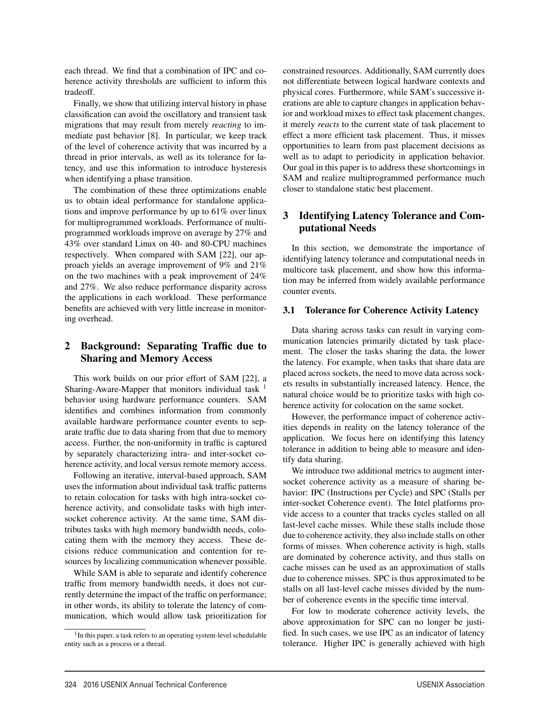each thread. We find that a combination of IPC and coherence activity thresholds are sufficient to inform this tradeoff.

Finally, we show that utilizing interval history in phase classification can avoid the oscillatory and transient task migrations that may result from merely *reacting* to immediate past behavior [8]. In particular, we keep track of the level of coherence activity that was incurred by a thread in prior intervals, as well as its tolerance for latency, and use this information to introduce hysteresis when identifying a phase transition.

The combination of these three optimizations enable us to obtain ideal performance for standalone applications and improve performance by up to 61% over linux for multiprogrammed workloads. Performance of multiprogrammed workloads improve on average by 27% and 43% over standard Linux on 40- and 80-CPU machines respectively. When compared with SAM [22], our approach yields an average improvement of 9% and 21% on the two machines with a peak improvement of 24% and 27%. We also reduce performance disparity across the applications in each workload. These performance benefits are achieved with very little increase in monitoring overhead.

## 2 Background: Separating Traffic due to Sharing and Memory Access

This work builds on our prior effort of SAM [22], a Sharing-Aware-Mapper that monitors individual task  $<sup>1</sup>$ </sup> behavior using hardware performance counters. SAM identifies and combines information from commonly available hardware performance counter events to separate traffic due to data sharing from that due to memory access. Further, the non-uniformity in traffic is captured by separately characterizing intra- and inter-socket coherence activity, and local versus remote memory access.

Following an iterative, interval-based approach, SAM uses the information about individual task traffic patterns to retain colocation for tasks with high intra-socket coherence activity, and consolidate tasks with high intersocket coherence activity. At the same time, SAM distributes tasks with high memory bandwidth needs, colocating them with the memory they access. These decisions reduce communication and contention for resources by localizing communication whenever possible.

While SAM is able to separate and identify coherence traffic from memory bandwidth needs, it does not currently determine the impact of the traffic on performance; in other words, its ability to tolerate the latency of communication, which would allow task prioritization for

2

constrained resources. Additionally, SAM currently does not differentiate between logical hardware contexts and physical cores. Furthermore, while SAM's successive iterations are able to capture changes in application behavior and workload mixes to effect task placement changes, it merely *reacts* to the current state of task placement to effect a more efficient task placement. Thus, it misses opportunities to learn from past placement decisions as well as to adapt to periodicity in application behavior. Our goal in this paper is to address these shortcomings in SAM and realize multiprogrammed performance much closer to standalone static best placement.

## 3 Identifying Latency Tolerance and Computational Needs

In this section, we demonstrate the importance of identifying latency tolerance and computational needs in multicore task placement, and show how this information may be inferred from widely available performance counter events.

#### 3.1 Tolerance for Coherence Activity Latency

Data sharing across tasks can result in varying communication latencies primarily dictated by task placement. The closer the tasks sharing the data, the lower the latency. For example, when tasks that share data are placed across sockets, the need to move data across sockets results in substantially increased latency. Hence, the natural choice would be to prioritize tasks with high coherence activity for colocation on the same socket.

However, the performance impact of coherence activities depends in reality on the latency tolerance of the application. We focus here on identifying this latency tolerance in addition to being able to measure and identify data sharing.

We introduce two additional metrics to augment intersocket coherence activity as a measure of sharing behavior: IPC (Instructions per Cycle) and SPC (Stalls per inter-socket Coherence event). The Intel platforms provide access to a counter that tracks cycles stalled on all last-level cache misses. While these stalls include those due to coherence activity, they also include stalls on other forms of misses. When coherence activity is high, stalls are dominated by coherence activity, and thus stalls on cache misses can be used as an approximation of stalls due to coherence misses. SPC is thus approximated to be stalls on all last-level cache misses divided by the number of coherence events in the specific time interval.

For low to moderate coherence activity levels, the above approximation for SPC can no longer be justified. In such cases, we use IPC as an indicator of latency tolerance. Higher IPC is generally achieved with high

<sup>&</sup>lt;sup>1</sup>In this paper, a task refers to an operating system-level schedulable entity such as a process or a thread.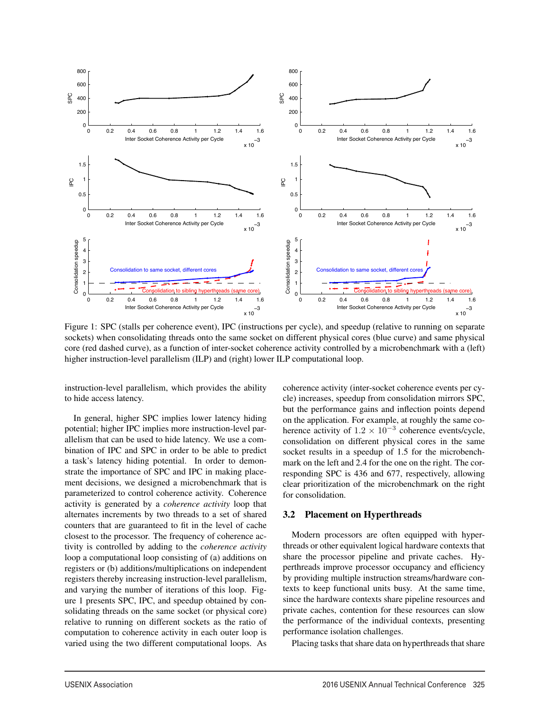

Figure 1: SPC (stalls per coherence event), IPC (instructions per cycle), and speedup (relative to running on separate sockets) when consolidating threads onto the same socket on different physical cores (blue curve) and same physical core (red dashed curve), as a function of inter-socket coherence activity controlled by a microbenchmark with a (left) higher instruction-level parallelism (ILP) and (right) lower ILP computational loop.

3

instruction-level parallelism, which provides the ability to hide access latency.

In general, higher SPC implies lower latency hiding potential; higher IPC implies more instruction-level parallelism that can be used to hide latency. We use a combination of IPC and SPC in order to be able to predict a task's latency hiding potential. In order to demonstrate the importance of SPC and IPC in making placement decisions, we designed a microbenchmark that is parameterized to control coherence activity. Coherence activity is generated by a *coherence activity* loop that alternates increments by two threads to a set of shared counters that are guaranteed to fit in the level of cache closest to the processor. The frequency of coherence activity is controlled by adding to the *coherence activity* loop a computational loop consisting of (a) additions on registers or (b) additions/multiplications on independent registers thereby increasing instruction-level parallelism, and varying the number of iterations of this loop. Figure 1 presents SPC, IPC, and speedup obtained by consolidating threads on the same socket (or physical core) relative to running on different sockets as the ratio of computation to coherence activity in each outer loop is varied using the two different computational loops. As coherence activity (inter-socket coherence events per cycle) increases, speedup from consolidation mirrors SPC, but the performance gains and inflection points depend on the application. For example, at roughly the same coherence activity of  $1.2 \times 10^{-3}$  coherence events/cycle, consolidation on different physical cores in the same socket results in a speedup of 1.5 for the microbenchmark on the left and 2.4 for the one on the right. The corresponding SPC is 436 and 677, respectively, allowing clear prioritization of the microbenchmark on the right for consolidation.

#### 3.2 Placement on Hyperthreads

Modern processors are often equipped with hyperthreads or other equivalent logical hardware contexts that share the processor pipeline and private caches. Hyperthreads improve processor occupancy and efficiency by providing multiple instruction streams/hardware contexts to keep functional units busy. At the same time, since the hardware contexts share pipeline resources and private caches, contention for these resources can slow the performance of the individual contexts, presenting performance isolation challenges.

Placing tasks that share data on hyperthreads that share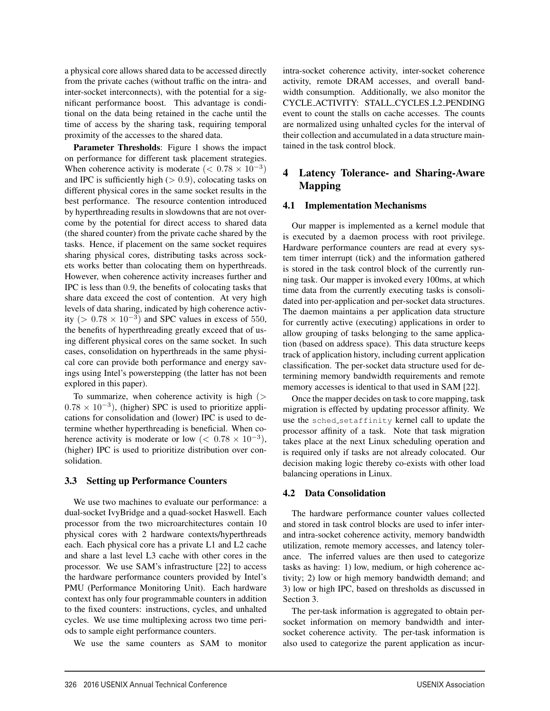a physical core allows shared data to be accessed directly from the private caches (without traffic on the intra- and inter-socket interconnects), with the potential for a significant performance boost. This advantage is conditional on the data being retained in the cache until the time of access by the sharing task, requiring temporal proximity of the accesses to the shared data.

Parameter Thresholds: Figure 1 shows the impact on performance for different task placement strategies. When coherence activity is moderate ( $< 0.78 \times 10^{-3}$ ) and IPC is sufficiently high  $(> 0.9)$ , colocating tasks on different physical cores in the same socket results in the best performance. The resource contention introduced by hyperthreading results in slowdowns that are not overcome by the potential for direct access to shared data (the shared counter) from the private cache shared by the tasks. Hence, if placement on the same socket requires sharing physical cores, distributing tasks across sockets works better than colocating them on hyperthreads. However, when coherence activity increases further and IPC is less than 0.9, the benefits of colocating tasks that share data exceed the cost of contention. At very high levels of data sharing, indicated by high coherence activity (>  $0.78 \times 10^{-3}$ ) and SPC values in excess of 550, the benefits of hyperthreading greatly exceed that of using different physical cores on the same socket. In such cases, consolidation on hyperthreads in the same physical core can provide both performance and energy savings using Intel's powerstepping (the latter has not been explored in this paper).

To summarize, when coherence activity is high  $($  $0.78 \times 10^{-3}$ ), (higher) SPC is used to prioritize applications for consolidation and (lower) IPC is used to determine whether hyperthreading is beneficial. When coherence activity is moderate or low ( $< 0.78 \times 10^{-3}$ ), (higher) IPC is used to prioritize distribution over consolidation.

#### 3.3 Setting up Performance Counters

We use two machines to evaluate our performance: a dual-socket IvyBridge and a quad-socket Haswell. Each processor from the two microarchitectures contain 10 physical cores with 2 hardware contexts/hyperthreads each. Each physical core has a private L1 and L2 cache and share a last level L3 cache with other cores in the processor. We use SAM's infrastructure [22] to access the hardware performance counters provided by Intel's PMU (Performance Monitoring Unit). Each hardware context has only four programmable counters in addition to the fixed counters: instructions, cycles, and unhalted cycles. We use time multiplexing across two time periods to sample eight performance counters.

We use the same counters as SAM to monitor

intra-socket coherence activity, inter-socket coherence activity, remote DRAM accesses, and overall bandwidth consumption. Additionally, we also monitor the CYCLE ACTIVITY: STALL CYCLES L2 PENDING event to count the stalls on cache accesses. The counts are normalized using unhalted cycles for the interval of their collection and accumulated in a data structure maintained in the task control block.

## 4 Latency Tolerance- and Sharing-Aware Mapping

#### 4.1 Implementation Mechanisms

Our mapper is implemented as a kernel module that is executed by a daemon process with root privilege. Hardware performance counters are read at every system timer interrupt (tick) and the information gathered is stored in the task control block of the currently running task. Our mapper is invoked every 100ms, at which time data from the currently executing tasks is consolidated into per-application and per-socket data structures. The daemon maintains a per application data structure for currently active (executing) applications in order to allow grouping of tasks belonging to the same application (based on address space). This data structure keeps track of application history, including current application classification. The per-socket data structure used for determining memory bandwidth requirements and remote memory accesses is identical to that used in SAM [22].

Once the mapper decides on task to core mapping, task migration is effected by updating processor affinity. We use the sched setaffinity kernel call to update the processor affinity of a task. Note that task migration takes place at the next Linux scheduling operation and is required only if tasks are not already colocated. Our decision making logic thereby co-exists with other load balancing operations in Linux.

#### 4.2 Data Consolidation

4

The hardware performance counter values collected and stored in task control blocks are used to infer interand intra-socket coherence activity, memory bandwidth utilization, remote memory accesses, and latency tolerance. The inferred values are then used to categorize tasks as having: 1) low, medium, or high coherence activity; 2) low or high memory bandwidth demand; and 3) low or high IPC, based on thresholds as discussed in Section 3.

The per-task information is aggregated to obtain persocket information on memory bandwidth and intersocket coherence activity. The per-task information is also used to categorize the parent application as incur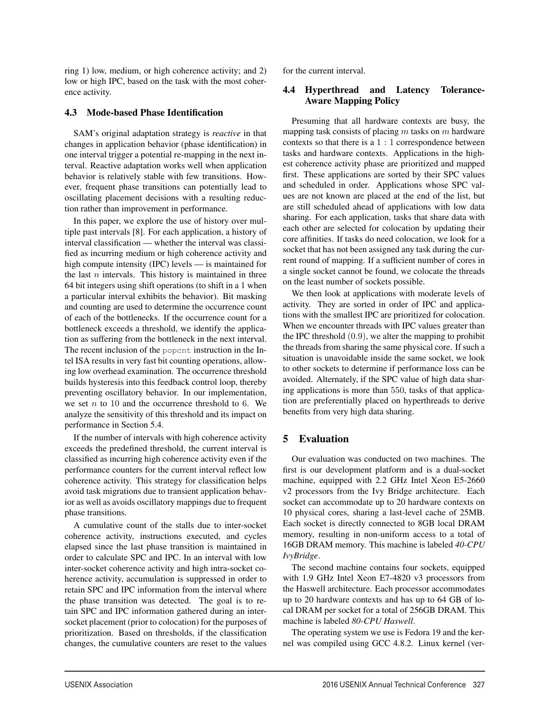ring 1) low, medium, or high coherence activity; and 2) low or high IPC, based on the task with the most coherence activity.

#### 4.3 Mode-based Phase Identification

SAM's original adaptation strategy is *reactive* in that changes in application behavior (phase identification) in one interval trigger a potential re-mapping in the next interval. Reactive adaptation works well when application behavior is relatively stable with few transitions. However, frequent phase transitions can potentially lead to oscillating placement decisions with a resulting reduction rather than improvement in performance.

In this paper, we explore the use of history over multiple past intervals [8]. For each application, a history of interval classification — whether the interval was classified as incurring medium or high coherence activity and high compute intensity (IPC) levels — is maintained for the last  $n$  intervals. This history is maintained in three 64 bit integers using shift operations (to shift in a 1 when a particular interval exhibits the behavior). Bit masking and counting are used to determine the occurrence count of each of the bottlenecks. If the occurrence count for a bottleneck exceeds a threshold, we identify the application as suffering from the bottleneck in the next interval. The recent inclusion of the popcnt instruction in the Intel ISA results in very fast bit counting operations, allowing low overhead examination. The occurrence threshold builds hysteresis into this feedback control loop, thereby preventing oscillatory behavior. In our implementation, we set  $n$  to 10 and the occurrence threshold to 6. We analyze the sensitivity of this threshold and its impact on performance in Section 5.4.

If the number of intervals with high coherence activity exceeds the predefined threshold, the current interval is classified as incurring high coherence activity even if the performance counters for the current interval reflect low coherence activity. This strategy for classification helps avoid task migrations due to transient application behavior as well as avoids oscillatory mappings due to frequent phase transitions.

A cumulative count of the stalls due to inter-socket coherence activity, instructions executed, and cycles elapsed since the last phase transition is maintained in order to calculate SPC and IPC. In an interval with low inter-socket coherence activity and high intra-socket coherence activity, accumulation is suppressed in order to retain SPC and IPC information from the interval where the phase transition was detected. The goal is to retain SPC and IPC information gathered during an intersocket placement (prior to colocation) for the purposes of prioritization. Based on thresholds, if the classification changes, the cumulative counters are reset to the values for the current interval.

#### 4.4 Hyperthread and Latency Tolerance-Aware Mapping Policy

Presuming that all hardware contexts are busy, the mapping task consists of placing  $m$  tasks on  $m$  hardware contexts so that there is a  $1:1$  correspondence between tasks and hardware contexts. Applications in the highest coherence activity phase are prioritized and mapped first. These applications are sorted by their SPC values and scheduled in order. Applications whose SPC values are not known are placed at the end of the list, but are still scheduled ahead of applications with low data sharing. For each application, tasks that share data with each other are selected for colocation by updating their core affinities. If tasks do need colocation, we look for a socket that has not been assigned any task during the current round of mapping. If a sufficient number of cores in a single socket cannot be found, we colocate the threads on the least number of sockets possible.

We then look at applications with moderate levels of activity. They are sorted in order of IPC and applications with the smallest IPC are prioritized for colocation. When we encounter threads with IPC values greater than the IPC threshold  $(0.9)$ , we alter the mapping to prohibit the threads from sharing the same physical core. If such a situation is unavoidable inside the same socket, we look to other sockets to determine if performance loss can be avoided. Alternately, if the SPC value of high data sharing applications is more than 550, tasks of that application are preferentially placed on hyperthreads to derive benefits from very high data sharing.

## 5 Evaluation

5

Our evaluation was conducted on two machines. The first is our development platform and is a dual-socket machine, equipped with 2.2 GHz Intel Xeon E5-2660 v2 processors from the Ivy Bridge architecture. Each socket can accommodate up to 20 hardware contexts on 10 physical cores, sharing a last-level cache of 25MB. Each socket is directly connected to 8GB local DRAM memory, resulting in non-uniform access to a total of 16GB DRAM memory. This machine is labeled *40-CPU IvyBridge*.

The second machine contains four sockets, equipped with 1.9 GHz Intel Xeon E7-4820 v3 processors from the Haswell architecture. Each processor accommodates up to 20 hardware contexts and has up to 64 GB of local DRAM per socket for a total of 256GB DRAM. This machine is labeled *80-CPU Haswell*.

The operating system we use is Fedora 19 and the kernel was compiled using GCC 4.8.2. Linux kernel (ver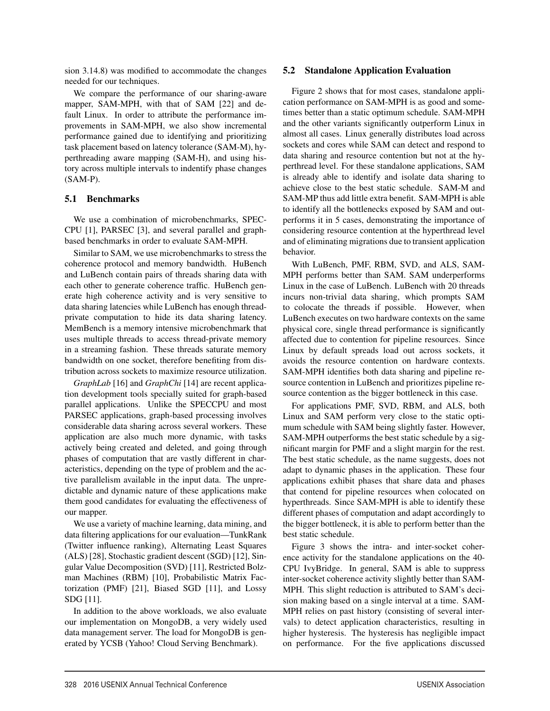sion 3.14.8) was modified to accommodate the changes needed for our techniques.

We compare the performance of our sharing-aware mapper, SAM-MPH, with that of SAM [22] and default Linux. In order to attribute the performance improvements in SAM-MPH, we also show incremental performance gained due to identifying and prioritizing task placement based on latency tolerance (SAM-M), hyperthreading aware mapping (SAM-H), and using history across multiple intervals to indentify phase changes (SAM-P).

#### 5.1 Benchmarks

We use a combination of microbenchmarks, SPEC-CPU [1], PARSEC [3], and several parallel and graphbased benchmarks in order to evaluate SAM-MPH.

Similar to SAM, we use microbenchmarks to stress the coherence protocol and memory bandwidth. HuBench and LuBench contain pairs of threads sharing data with each other to generate coherence traffic. HuBench generate high coherence activity and is very sensitive to data sharing latencies while LuBench has enough threadprivate computation to hide its data sharing latency. MemBench is a memory intensive microbenchmark that uses multiple threads to access thread-private memory in a streaming fashion. These threads saturate memory bandwidth on one socket, therefore benefiting from distribution across sockets to maximize resource utilization.

*GraphLab* [16] and *GraphChi* [14] are recent application development tools specially suited for graph-based parallel applications. Unlike the SPECCPU and most PARSEC applications, graph-based processing involves considerable data sharing across several workers. These application are also much more dynamic, with tasks actively being created and deleted, and going through phases of computation that are vastly different in characteristics, depending on the type of problem and the active parallelism available in the input data. The unpredictable and dynamic nature of these applications make them good candidates for evaluating the effectiveness of our mapper.

We use a variety of machine learning, data mining, and data filtering applications for our evaluation—TunkRank (Twitter influence ranking), Alternating Least Squares (ALS) [28], Stochastic gradient descent (SGD) [12], Singular Value Decomposition (SVD) [11], Restricted Bolzman Machines (RBM) [10], Probabilistic Matrix Factorization (PMF) [21], Biased SGD [11], and Lossy SDG [11].

In addition to the above workloads, we also evaluate our implementation on MongoDB, a very widely used data management server. The load for MongoDB is generated by YCSB (Yahoo! Cloud Serving Benchmark).

6

#### 5.2 Standalone Application Evaluation

Figure 2 shows that for most cases, standalone application performance on SAM-MPH is as good and sometimes better than a static optimum schedule. SAM-MPH and the other variants significantly outperform Linux in almost all cases. Linux generally distributes load across sockets and cores while SAM can detect and respond to data sharing and resource contention but not at the hyperthread level. For these standalone applications, SAM is already able to identify and isolate data sharing to achieve close to the best static schedule. SAM-M and SAM-MP thus add little extra benefit. SAM-MPH is able to identify all the bottlenecks exposed by SAM and outperforms it in 5 cases, demonstrating the importance of considering resource contention at the hyperthread level and of eliminating migrations due to transient application behavior.

With LuBench, PMF, RBM, SVD, and ALS, SAM-MPH performs better than SAM. SAM underperforms Linux in the case of LuBench. LuBench with 20 threads incurs non-trivial data sharing, which prompts SAM to colocate the threads if possible. However, when LuBench executes on two hardware contexts on the same physical core, single thread performance is significantly affected due to contention for pipeline resources. Since Linux by default spreads load out across sockets, it avoids the resource contention on hardware contexts. SAM-MPH identifies both data sharing and pipeline resource contention in LuBench and prioritizes pipeline resource contention as the bigger bottleneck in this case.

For applications PMF, SVD, RBM, and ALS, both Linux and SAM perform very close to the static optimum schedule with SAM being slightly faster. However, SAM-MPH outperforms the best static schedule by a significant margin for PMF and a slight margin for the rest. The best static schedule, as the name suggests, does not adapt to dynamic phases in the application. These four applications exhibit phases that share data and phases that contend for pipeline resources when colocated on hyperthreads. Since SAM-MPH is able to identify these different phases of computation and adapt accordingly to the bigger bottleneck, it is able to perform better than the best static schedule.

Figure 3 shows the intra- and inter-socket coherence activity for the standalone applications on the 40- CPU IvyBridge. In general, SAM is able to suppress inter-socket coherence activity slightly better than SAM-MPH. This slight reduction is attributed to SAM's decision making based on a single interval at a time. SAM-MPH relies on past history (consisting of several intervals) to detect application characteristics, resulting in higher hysteresis. The hysteresis has negligible impact on performance. For the five applications discussed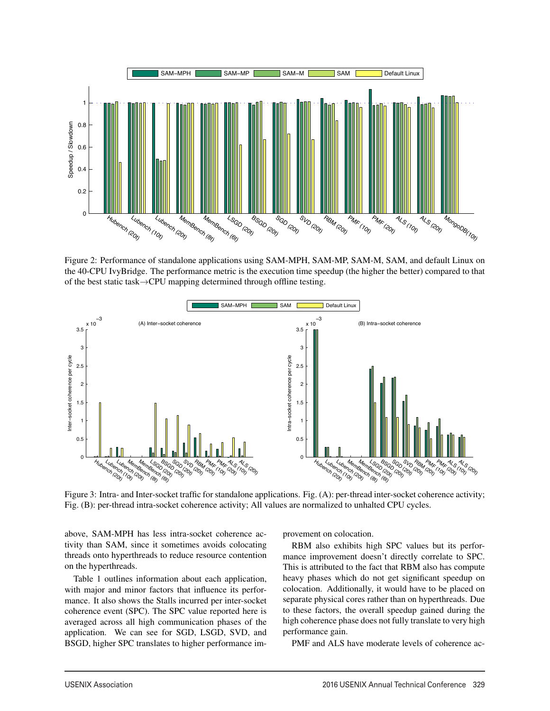

Figure 2: Performance of standalone applications using SAM-MPH, SAM-MP, SAM-M, SAM, and default Linux on the 40-CPU IvyBridge. The performance metric is the execution time speedup (the higher the better) compared to that of the best static task→CPU mapping determined through offline testing.



Figure 3: Intra- and Inter-socket traffic for standalone applications. Fig. (A): per-thread inter-socket coherence activity; Fig. (B): per-thread intra-socket coherence activity; All values are normalized to unhalted CPU cycles.

7

above, SAM-MPH has less intra-socket coherence activity than SAM, since it sometimes avoids colocating threads onto hyperthreads to reduce resource contention on the hyperthreads.

Table 1 outlines information about each application, with major and minor factors that influence its performance. It also shows the Stalls incurred per inter-socket coherence event (SPC). The SPC value reported here is averaged across all high communication phases of the application. We can see for SGD, LSGD, SVD, and BSGD, higher SPC translates to higher performance improvement on colocation.

RBM also exhibits high SPC values but its performance improvement doesn't directly correlate to SPC. This is attributed to the fact that RBM also has compute heavy phases which do not get significant speedup on colocation. Additionally, it would have to be placed on separate physical cores rather than on hyperthreads. Due to these factors, the overall speedup gained during the high coherence phase does not fully translate to very high performance gain.

PMF and ALS have moderate levels of coherence ac-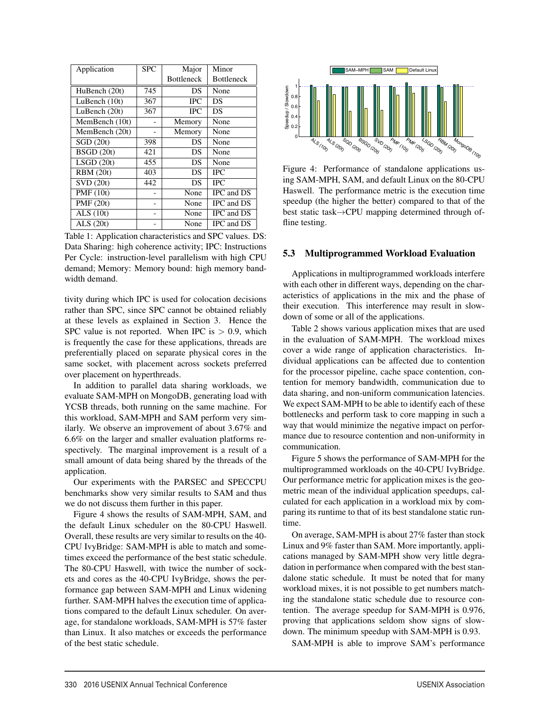| Application      | <b>SPC</b> | Major      | Minor             |
|------------------|------------|------------|-------------------|
|                  |            | Bottleneck | <b>Bottleneck</b> |
| HuBench (20t)    | 745        | DS.        | None              |
| LuBench $(10t)$  | 367        | <b>IPC</b> | DS                |
| LuBench (20t)    | 367        | <b>IPC</b> | DS                |
| MemBench (10t)   |            | Memory     | None              |
| MemBench (20t)   |            | Memory     | None              |
| SGD(20t)         | 398        | DS.        | None              |
| BSGD(20t)        | 421        | DS.        | None              |
| LSGD(20t)        | 455        | DS         | None              |
| <b>RBM</b> (20t) | 403        | DS         | <b>IPC</b>        |
| SVD(20t)         | 442        | DS         | <b>IPC</b>        |
| <b>PMF</b> (10t) |            | None       | IPC and DS        |
| PMF(20t)         |            | None       | IPC and DS        |
| ALS(10t)         |            | None       | IPC and DS        |
| ALS $(20t)$      |            | None       | IPC and DS        |

Table 1: Application characteristics and SPC values. DS: Data Sharing: high coherence activity; IPC: Instructions Per Cycle: instruction-level parallelism with high CPU demand; Memory: Memory bound: high memory bandwidth demand.

tivity during which IPC is used for colocation decisions rather than SPC, since SPC cannot be obtained reliably at these levels as explained in Section 3. Hence the SPC value is not reported. When IPC is  $> 0.9$ , which is frequently the case for these applications, threads are preferentially placed on separate physical cores in the same socket, with placement across sockets preferred over placement on hyperthreads.

In addition to parallel data sharing workloads, we evaluate SAM-MPH on MongoDB, generating load with YCSB threads, both running on the same machine. For this workload, SAM-MPH and SAM perform very similarly. We observe an improvement of about 3.67% and 6.6% on the larger and smaller evaluation platforms respectively. The marginal improvement is a result of a small amount of data being shared by the threads of the application.

Our experiments with the PARSEC and SPECCPU benchmarks show very similar results to SAM and thus we do not discuss them further in this paper.

Figure 4 shows the results of SAM-MPH, SAM, and the default Linux scheduler on the 80-CPU Haswell. Overall, these results are very similar to results on the 40- CPU IvyBridge: SAM-MPH is able to match and sometimes exceed the performance of the best static schedule. The 80-CPU Haswell, with twice the number of sockets and cores as the 40-CPU IvyBridge, shows the performance gap between SAM-MPH and Linux widening further. SAM-MPH halves the execution time of applications compared to the default Linux scheduler. On average, for standalone workloads, SAM-MPH is 57% faster than Linux. It also matches or exceeds the performance of the best static schedule.



Figure 4: Performance of standalone applications using SAM-MPH, SAM, and default Linux on the 80-CPU Haswell. The performance metric is the execution time speedup (the higher the better) compared to that of the best static task→CPU mapping determined through offline testing.

#### 5.3 Multiprogrammed Workload Evaluation

Applications in multiprogrammed workloads interfere with each other in different ways, depending on the characteristics of applications in the mix and the phase of their execution. This interference may result in slowdown of some or all of the applications.

Table 2 shows various application mixes that are used in the evaluation of SAM-MPH. The workload mixes cover a wide range of application characteristics. Individual applications can be affected due to contention for the processor pipeline, cache space contention, contention for memory bandwidth, communication due to data sharing, and non-uniform communication latencies. We expect SAM-MPH to be able to identify each of these bottlenecks and perform task to core mapping in such a way that would minimize the negative impact on performance due to resource contention and non-uniformity in communication.

Figure 5 shows the performance of SAM-MPH for the multiprogrammed workloads on the 40-CPU IvyBridge. Our performance metric for application mixes is the geometric mean of the individual application speedups, calculated for each application in a workload mix by comparing its runtime to that of its best standalone static runtime.

On average, SAM-MPH is about 27% faster than stock Linux and 9% faster than SAM. More importantly, applications managed by SAM-MPH show very little degradation in performance when compared with the best standalone static schedule. It must be noted that for many workload mixes, it is not possible to get numbers matching the standalone static schedule due to resource contention. The average speedup for SAM-MPH is 0.976, proving that applications seldom show signs of slowdown. The minimum speedup with SAM-MPH is 0.93.

SAM-MPH is able to improve SAM's performance

8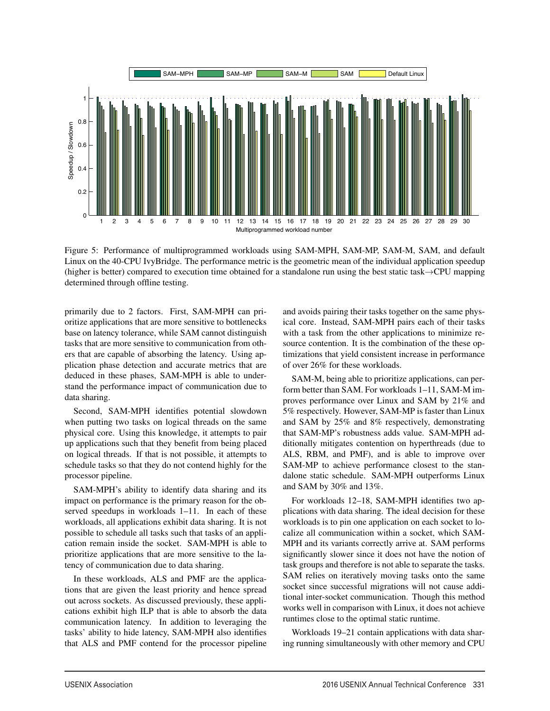

Figure 5: Performance of multiprogrammed workloads using SAM-MPH, SAM-MP, SAM-M, SAM, and default Linux on the 40-CPU IvyBridge. The performance metric is the geometric mean of the individual application speedup (higher is better) compared to execution time obtained for a standalone run using the best static task→CPU mapping determined through offline testing.

9

primarily due to 2 factors. First, SAM-MPH can prioritize applications that are more sensitive to bottlenecks base on latency tolerance, while SAM cannot distinguish tasks that are more sensitive to communication from others that are capable of absorbing the latency. Using application phase detection and accurate metrics that are deduced in these phases, SAM-MPH is able to understand the performance impact of communication due to data sharing.

Second, SAM-MPH identifies potential slowdown when putting two tasks on logical threads on the same physical core. Using this knowledge, it attempts to pair up applications such that they benefit from being placed on logical threads. If that is not possible, it attempts to schedule tasks so that they do not contend highly for the processor pipeline.

SAM-MPH's ability to identify data sharing and its impact on performance is the primary reason for the observed speedups in workloads 1–11. In each of these workloads, all applications exhibit data sharing. It is not possible to schedule all tasks such that tasks of an application remain inside the socket. SAM-MPH is able to prioritize applications that are more sensitive to the latency of communication due to data sharing.

In these workloads, ALS and PMF are the applications that are given the least priority and hence spread out across sockets. As discussed previously, these applications exhibit high ILP that is able to absorb the data communication latency. In addition to leveraging the tasks' ability to hide latency, SAM-MPH also identifies that ALS and PMF contend for the processor pipeline and avoids pairing their tasks together on the same physical core. Instead, SAM-MPH pairs each of their tasks with a task from the other applications to minimize resource contention. It is the combination of the these optimizations that yield consistent increase in performance of over 26% for these workloads.

SAM-M, being able to prioritize applications, can perform better than SAM. For workloads 1–11, SAM-M improves performance over Linux and SAM by 21% and 5% respectively. However, SAM-MP is faster than Linux and SAM by 25% and 8% respectively, demonstrating that SAM-MP's robustness adds value. SAM-MPH additionally mitigates contention on hyperthreads (due to ALS, RBM, and PMF), and is able to improve over SAM-MP to achieve performance closest to the standalone static schedule. SAM-MPH outperforms Linux and SAM by 30% and 13%.

For workloads 12–18, SAM-MPH identifies two applications with data sharing. The ideal decision for these workloads is to pin one application on each socket to localize all communication within a socket, which SAM-MPH and its variants correctly arrive at. SAM performs significantly slower since it does not have the notion of task groups and therefore is not able to separate the tasks. SAM relies on iteratively moving tasks onto the same socket since successful migrations will not cause additional inter-socket communication. Though this method works well in comparison with Linux, it does not achieve runtimes close to the optimal static runtime.

Workloads 19–21 contain applications with data sharing running simultaneously with other memory and CPU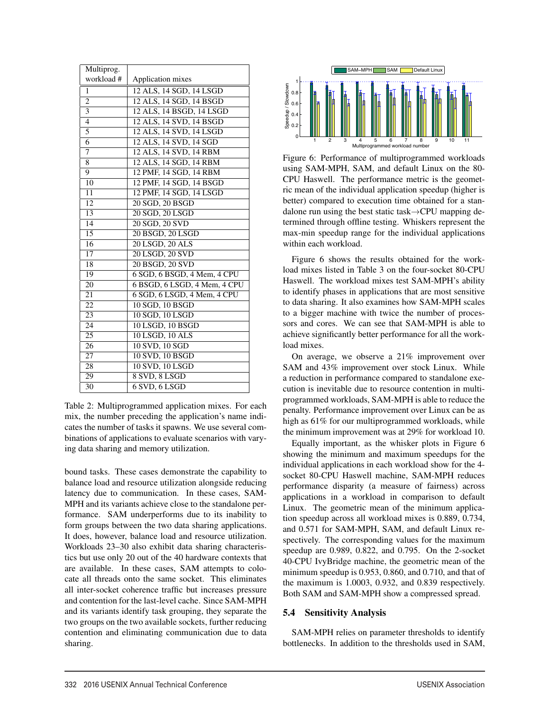| Multiprog.                |                                     |
|---------------------------|-------------------------------------|
| workload #                | Application mixes                   |
| 1                         | 12 ALS, 14 SGD, 14 LSGD             |
| $\overline{2}$            | 12 ALS, 14 SGD, 14 BSGD             |
| $\overline{\overline{3}}$ | 12 ALS, 14 BSGD, 14 LSGD            |
| $\overline{4}$            | 12 ALS, 14 SVD, 14 BSGD             |
| 5                         | 12 ALS, 14 SVD, 14 LSGD             |
| $\overline{6}$            | 12 ALS, 14 SVD, 14 SGD              |
| 7                         | 12 ALS, 14 SVD, 14 RBM              |
| 8                         | 12 ALS, 14 SGD, 14 RBM              |
| 9                         | 12 PMF, 14 SGD, 14 RBM              |
| 10                        | 12 PMF, 14 SGD, 14 BSGD             |
| 11                        | 12 PMF, 14 SGD, 14 LSGD             |
| 12                        | 20 SGD, 20 BSGD                     |
| 13                        | 20 SGD, 20 LSGD                     |
| $\overline{14}$           | 20 SGD, 20 SVD                      |
| 15                        | 20 BSGD, 20 LSGD                    |
| 16                        | 20 LSGD, 20 ALS                     |
| $\overline{17}$           | 20 LSGD, 20 SVD                     |
| 18                        | 20 BSGD, 20 SVD                     |
| 19                        | 6 SGD, 6 BSGD, 4 Mem, 4 CPU         |
| 20                        | 6 BSGD, 6 LSGD, 4 Mem, 4 CPU        |
| 21                        | $6$ SGD, $6$ LSGD, $4$ Mem, $4$ CPU |
| 22                        | 10 SGD, 10 BSGD                     |
| 23                        | 10 SGD, 10 LSGD                     |
| 24                        | 10 LSGD, 10 BSGD                    |
| 25                        | 10 LSGD, 10 ALS                     |
| 26                        | 10 SVD, 10 SGD                      |
| 27                        | 10 SVD, 10 BSGD                     |
| 28                        | 10 SVD, 10 LSGD                     |
| 29                        | 8 SVD, 8 LSGD                       |
| $\overline{30}$           | $6$ SVD, $6$ LSGD                   |

Table 2: Multiprogrammed application mixes. For each mix, the number preceding the application's name indicates the number of tasks it spawns. We use several combinations of applications to evaluate scenarios with varying data sharing and memory utilization.

bound tasks. These cases demonstrate the capability to balance load and resource utilization alongside reducing latency due to communication. In these cases, SAM-MPH and its variants achieve close to the standalone performance. SAM underperforms due to its inability to form groups between the two data sharing applications. It does, however, balance load and resource utilization. Workloads 23–30 also exhibit data sharing characteristics but use only 20 out of the 40 hardware contexts that are available. In these cases, SAM attempts to colocate all threads onto the same socket. This eliminates all inter-socket coherence traffic but increases pressure and contention for the last-level cache. Since SAM-MPH and its variants identify task grouping, they separate the two groups on the two available sockets, further reducing contention and eliminating communication due to data sharing.



Figure 6: Performance of multiprogrammed workloads using SAM-MPH, SAM, and default Linux on the 80- CPU Haswell. The performance metric is the geometric mean of the individual application speedup (higher is better) compared to execution time obtained for a standalone run using the best static task→CPU mapping determined through offline testing. Whiskers represent the max-min speedup range for the individual applications within each workload.

Figure 6 shows the results obtained for the workload mixes listed in Table 3 on the four-socket 80-CPU Haswell. The workload mixes test SAM-MPH's ability to identify phases in applications that are most sensitive to data sharing. It also examines how SAM-MPH scales to a bigger machine with twice the number of processors and cores. We can see that SAM-MPH is able to achieve significantly better performance for all the workload mixes.

On average, we observe a 21% improvement over SAM and 43% improvement over stock Linux. While a reduction in performance compared to standalone execution is inevitable due to resource contention in multiprogrammed workloads, SAM-MPH is able to reduce the penalty. Performance improvement over Linux can be as high as 61% for our multiprogrammed workloads, while the minimum improvement was at 29% for workload 10.

Equally important, as the whisker plots in Figure 6 showing the minimum and maximum speedups for the individual applications in each workload show for the 4 socket 80-CPU Haswell machine, SAM-MPH reduces performance disparity (a measure of fairness) across applications in a workload in comparison to default Linux. The geometric mean of the minimum application speedup across all workload mixes is 0.889, 0.734, and 0.571 for SAM-MPH, SAM, and default Linux respectively. The corresponding values for the maximum speedup are 0.989, 0.822, and 0.795. On the 2-socket 40-CPU IvyBridge machine, the geometric mean of the minimum speedup is 0.953, 0.860, and 0.710, and that of the maximum is 1.0003, 0.932, and 0.839 respectively. Both SAM and SAM-MPH show a compressed spread.

#### 5.4 Sensitivity Analysis

10

SAM-MPH relies on parameter thresholds to identify bottlenecks. In addition to the thresholds used in SAM,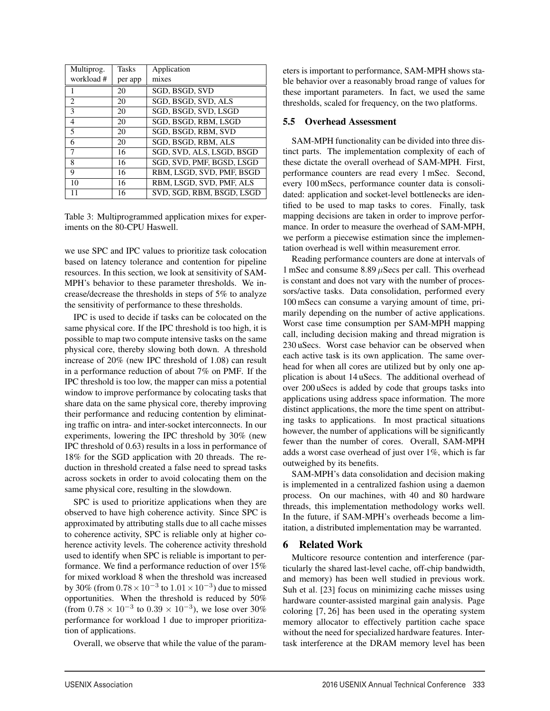| Multiprog.               | Tasks   | Application               |
|--------------------------|---------|---------------------------|
| workload #               | per app | mixes                     |
|                          | 20      | SGD, BSGD, SVD            |
| $\overline{c}$           | 20      | SGD, BSGD, SVD, ALS       |
| $\mathcal{F}$            | 20      | SGD, BSGD, SVD, LSGD      |
| $\overline{4}$           | 20      | SGD, BSGD, RBM, LSGD      |
| $\overline{\phantom{0}}$ | 20      | SGD, BSGD, RBM, SVD       |
| 6                        | 20      | SGD, BSGD, RBM, ALS       |
| 7                        | 16      | SGD, SVD, ALS, LSGD, BSGD |
| 8                        | 16      | SGD, SVD, PMF, BGSD, LSGD |
| 9                        | 16      | RBM, LSGD, SVD, PMF, BSGD |
| 10                       | 16      | RBM, LSGD, SVD, PMF, ALS  |
| 11                       | 16      | SVD, SGD, RBM, BSGD, LSGD |

Table 3: Multiprogrammed application mixes for experiments on the 80-CPU Haswell.

we use SPC and IPC values to prioritize task colocation based on latency tolerance and contention for pipeline resources. In this section, we look at sensitivity of SAM-MPH's behavior to these parameter thresholds. We increase/decrease the thresholds in steps of 5% to analyze the sensitivity of performance to these thresholds.

IPC is used to decide if tasks can be colocated on the same physical core. If the IPC threshold is too high, it is possible to map two compute intensive tasks on the same physical core, thereby slowing both down. A threshold increase of 20% (new IPC threshold of 1.08) can result in a performance reduction of about 7% on PMF. If the IPC threshold is too low, the mapper can miss a potential window to improve performance by colocating tasks that share data on the same physical core, thereby improving their performance and reducing contention by eliminating traffic on intra- and inter-socket interconnects. In our experiments, lowering the IPC threshold by 30% (new IPC threshold of 0.63) results in a loss in performance of 18% for the SGD application with 20 threads. The reduction in threshold created a false need to spread tasks across sockets in order to avoid colocating them on the same physical core, resulting in the slowdown.

SPC is used to prioritize applications when they are observed to have high coherence activity. Since SPC is approximated by attributing stalls due to all cache misses to coherence activity, SPC is reliable only at higher coherence activity levels. The coherence activity threshold used to identify when SPC is reliable is important to performance. We find a performance reduction of over 15% for mixed workload 8 when the threshold was increased by 30% (from  $0.78\times10^{-3}$  to  $1.01\times10^{-3})$  due to missed opportunities. When the threshold is reduced by 50% (from  $0.78 \times 10^{-3}$  to  $0.39 \times 10^{-3}$ ), we lose over 30% performance for workload 1 due to improper prioritization of applications.

Overall, we observe that while the value of the param-

eters is important to performance, SAM-MPH shows stable behavior over a reasonably broad range of values for these important parameters. In fact, we used the same thresholds, scaled for frequency, on the two platforms.

#### 5.5 Overhead Assessment

SAM-MPH functionality can be divided into three distinct parts. The implementation complexity of each of these dictate the overall overhead of SAM-MPH. First, performance counters are read every 1 mSec. Second, every 100 mSecs, performance counter data is consolidated: application and socket-level bottlenecks are identified to be used to map tasks to cores. Finally, task mapping decisions are taken in order to improve performance. In order to measure the overhead of SAM-MPH, we perform a piecewise estimation since the implementation overhead is well within measurement error.

Reading performance counters are done at intervals of 1 mSec and consume  $8.89 \mu$ Secs per call. This overhead is constant and does not vary with the number of processors/active tasks. Data consolidation, performed every 100 mSecs can consume a varying amount of time, primarily depending on the number of active applications. Worst case time consumption per SAM-MPH mapping call, including decision making and thread migration is 230 uSecs. Worst case behavior can be observed when each active task is its own application. The same overhead for when all cores are utilized but by only one application is about 14 uSecs. The additional overhead of over 200 uSecs is added by code that groups tasks into applications using address space information. The more distinct applications, the more the time spent on attributing tasks to applications. In most practical situations however, the number of applications will be significantly fewer than the number of cores. Overall, SAM-MPH adds a worst case overhead of just over 1%, which is far outweighed by its benefits.

SAM-MPH's data consolidation and decision making is implemented in a centralized fashion using a daemon process. On our machines, with 40 and 80 hardware threads, this implementation methodology works well. In the future, if SAM-MPH's overheads become a limitation, a distributed implementation may be warranted.

#### 6 Related Work

11

Multicore resource contention and interference (particularly the shared last-level cache, off-chip bandwidth, and memory) has been well studied in previous work. Suh et al. [23] focus on minimizing cache misses using hardware counter-assisted marginal gain analysis. Page coloring [7, 26] has been used in the operating system memory allocator to effectively partition cache space without the need for specialized hardware features. Intertask interference at the DRAM memory level has been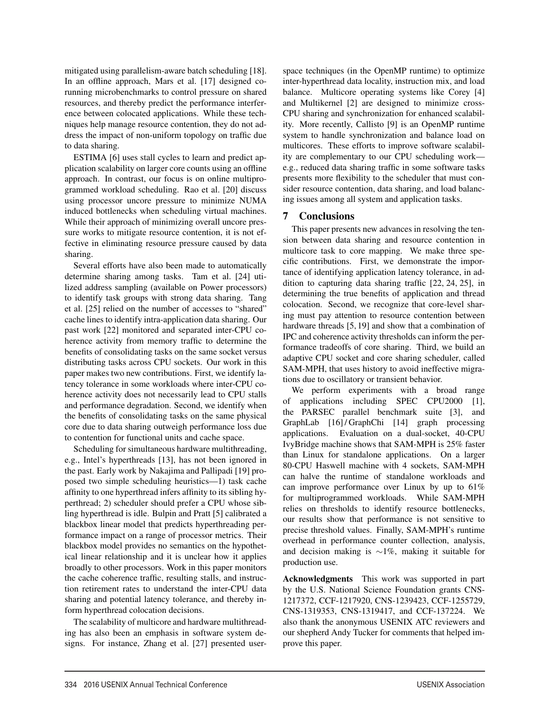mitigated using parallelism-aware batch scheduling [18]. In an offline approach, Mars et al. [17] designed corunning microbenchmarks to control pressure on shared resources, and thereby predict the performance interference between colocated applications. While these techniques help manage resource contention, they do not address the impact of non-uniform topology on traffic due to data sharing.

ESTIMA [6] uses stall cycles to learn and predict application scalability on larger core counts using an offline approach. In contrast, our focus is on online multiprogrammed workload scheduling. Rao et al. [20] discuss using processor uncore pressure to minimize NUMA induced bottlenecks when scheduling virtual machines. While their approach of minimizing overall uncore pressure works to mitigate resource contention, it is not effective in eliminating resource pressure caused by data sharing.

Several efforts have also been made to automatically determine sharing among tasks. Tam et al. [24] utilized address sampling (available on Power processors) to identify task groups with strong data sharing. Tang et al. [25] relied on the number of accesses to "shared" cache lines to identify intra-application data sharing. Our past work [22] monitored and separated inter-CPU coherence activity from memory traffic to determine the benefits of consolidating tasks on the same socket versus distributing tasks across CPU sockets. Our work in this paper makes two new contributions. First, we identify latency tolerance in some workloads where inter-CPU coherence activity does not necessarily lead to CPU stalls and performance degradation. Second, we identify when the benefits of consolidating tasks on the same physical core due to data sharing outweigh performance loss due to contention for functional units and cache space.

Scheduling for simultaneous hardware multithreading, e.g., Intel's hyperthreads [13], has not been ignored in the past. Early work by Nakajima and Pallipadi [19] proposed two simple scheduling heuristics—1) task cache affinity to one hyperthread infers affinity to its sibling hyperthread; 2) scheduler should prefer a CPU whose sibling hyperthread is idle. Bulpin and Pratt [5] calibrated a blackbox linear model that predicts hyperthreading performance impact on a range of processor metrics. Their blackbox model provides no semantics on the hypothetical linear relationship and it is unclear how it applies broadly to other processors. Work in this paper monitors the cache coherence traffic, resulting stalls, and instruction retirement rates to understand the inter-CPU data sharing and potential latency tolerance, and thereby inform hyperthread colocation decisions.

The scalability of multicore and hardware multithreading has also been an emphasis in software system designs. For instance, Zhang et al. [27] presented user-

12

space techniques (in the OpenMP runtime) to optimize inter-hyperthread data locality, instruction mix, and load balance. Multicore operating systems like Corey [4] and Multikernel [2] are designed to minimize cross-CPU sharing and synchronization for enhanced scalability. More recently, Callisto [9] is an OpenMP runtime system to handle synchronization and balance load on multicores. These efforts to improve software scalability are complementary to our CPU scheduling work e.g., reduced data sharing traffic in some software tasks presents more flexibility to the scheduler that must consider resource contention, data sharing, and load balancing issues among all system and application tasks.

## 7 Conclusions

This paper presents new advances in resolving the tension between data sharing and resource contention in multicore task to core mapping. We make three specific contributions. First, we demonstrate the importance of identifying application latency tolerance, in addition to capturing data sharing traffic [22, 24, 25], in determining the true benefits of application and thread colocation. Second, we recognize that core-level sharing must pay attention to resource contention between hardware threads [5, 19] and show that a combination of IPC and coherence activity thresholds can inform the performance tradeoffs of core sharing. Third, we build an adaptive CPU socket and core sharing scheduler, called SAM-MPH, that uses history to avoid ineffective migrations due to oscillatory or transient behavior.

We perform experiments with a broad range of applications including SPEC CPU2000 [1], the PARSEC parallel benchmark suite [3], and GraphLab [16] / GraphChi [14] graph processing applications. Evaluation on a dual-socket, 40-CPU IvyBridge machine shows that SAM-MPH is 25% faster than Linux for standalone applications. On a larger 80-CPU Haswell machine with 4 sockets, SAM-MPH can halve the runtime of standalone workloads and can improve performance over Linux by up to 61% for multiprogrammed workloads. While SAM-MPH relies on thresholds to identify resource bottlenecks, our results show that performance is not sensitive to precise threshold values. Finally, SAM-MPH's runtime overhead in performance counter collection, analysis, and decision making is ∼1%, making it suitable for production use.

Acknowledgments This work was supported in part by the U.S. National Science Foundation grants CNS-1217372, CCF-1217920, CNS-1239423, CCF-1255729, CNS-1319353, CNS-1319417, and CCF-137224. We also thank the anonymous USENIX ATC reviewers and our shepherd Andy Tucker for comments that helped improve this paper.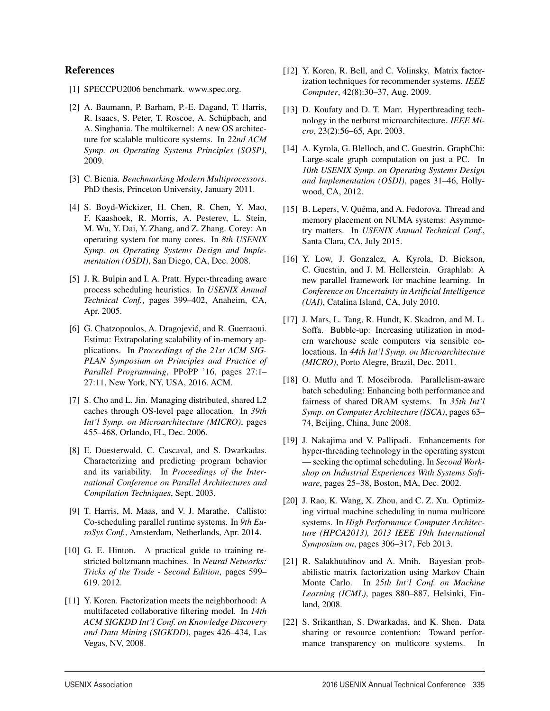#### References

- [1] SPECCPU2006 benchmark. www.spec.org.
- [2] A. Baumann, P. Barham, P.-E. Dagand, T. Harris, R. Isaacs, S. Peter, T. Roscoe, A. Schüpbach, and A. Singhania. The multikernel: A new OS architecture for scalable multicore systems. In *22nd ACM Symp. on Operating Systems Principles (SOSP)*, 2009.
- [3] C. Bienia. *Benchmarking Modern Multiprocessors*. PhD thesis, Princeton University, January 2011.
- [4] S. Boyd-Wickizer, H. Chen, R. Chen, Y. Mao, F. Kaashoek, R. Morris, A. Pesterev, L. Stein, M. Wu, Y. Dai, Y. Zhang, and Z. Zhang. Corey: An operating system for many cores. In *8th USENIX Symp. on Operating Systems Design and Implementation (OSDI)*, San Diego, CA, Dec. 2008.
- [5] J. R. Bulpin and I. A. Pratt. Hyper-threading aware process scheduling heuristics. In *USENIX Annual Technical Conf.*, pages 399–402, Anaheim, CA, Apr. 2005.
- [6] G. Chatzopoulos, A. Dragojević, and R. Guerraoui. Estima: Extrapolating scalability of in-memory applications. In *Proceedings of the 21st ACM SIG-PLAN Symposium on Principles and Practice of Parallel Programming*, PPoPP '16, pages 27:1– 27:11, New York, NY, USA, 2016. ACM.
- [7] S. Cho and L. Jin. Managing distributed, shared L2 caches through OS-level page allocation. In *39th Int'l Symp. on Microarchitecture (MICRO)*, pages 455–468, Orlando, FL, Dec. 2006.
- [8] E. Duesterwald, C. Cascaval, and S. Dwarkadas. Characterizing and predicting program behavior and its variability. In *Proceedings of the International Conference on Parallel Architectures and Compilation Techniques*, Sept. 2003.
- [9] T. Harris, M. Maas, and V. J. Marathe. Callisto: Co-scheduling parallel runtime systems. In *9th EuroSys Conf.*, Amsterdam, Netherlands, Apr. 2014.
- [10] G. E. Hinton. A practical guide to training restricted boltzmann machines. In *Neural Networks: Tricks of the Trade - Second Edition*, pages 599– 619. 2012.
- [11] Y. Koren. Factorization meets the neighborhood: A multifaceted collaborative filtering model. In *14th ACM SIGKDD Int'l Conf. on Knowledge Discovery and Data Mining (SIGKDD)*, pages 426–434, Las Vegas, NV, 2008.
- [12] Y. Koren, R. Bell, and C. Volinsky. Matrix factorization techniques for recommender systems. *IEEE Computer*, 42(8):30–37, Aug. 2009.
- [13] D. Koufaty and D. T. Marr. Hyperthreading technology in the netburst microarchitecture. *IEEE Micro*, 23(2):56–65, Apr. 2003.
- [14] A. Kyrola, G. Blelloch, and C. Guestrin. GraphChi: Large-scale graph computation on just a PC. In *10th USENIX Symp. on Operating Systems Design and Implementation (OSDI)*, pages 31–46, Hollywood, CA, 2012.
- [15] B. Lepers, V. Quéma, and A. Fedorova. Thread and memory placement on NUMA systems: Asymmetry matters. In *USENIX Annual Technical Conf.*, Santa Clara, CA, July 2015.
- [16] Y. Low, J. Gonzalez, A. Kyrola, D. Bickson, C. Guestrin, and J. M. Hellerstein. Graphlab: A new parallel framework for machine learning. In *Conference on Uncertainty in Artificial Intelligence (UAI)*, Catalina Island, CA, July 2010.
- [17] J. Mars, L. Tang, R. Hundt, K. Skadron, and M. L. Soffa. Bubble-up: Increasing utilization in modern warehouse scale computers via sensible colocations. In *44th Int'l Symp. on Microarchitecture (MICRO)*, Porto Alegre, Brazil, Dec. 2011.
- [18] O. Mutlu and T. Moscibroda. Parallelism-aware batch scheduling: Enhancing both performance and fairness of shared DRAM systems. In *35th Int'l Symp. on Computer Architecture (ISCA)*, pages 63– 74, Beijing, China, June 2008.
- [19] J. Nakajima and V. Pallipadi. Enhancements for hyper-threading technology in the operating system — seeking the optimal scheduling. In *Second Workshop on Industrial Experiences With Systems Software*, pages 25–38, Boston, MA, Dec. 2002.
- [20] J. Rao, K. Wang, X. Zhou, and C. Z. Xu. Optimizing virtual machine scheduling in numa multicore systems. In *High Performance Computer Architecture (HPCA2013), 2013 IEEE 19th International Symposium on*, pages 306–317, Feb 2013.
- [21] R. Salakhutdinov and A. Mnih. Bayesian probabilistic matrix factorization using Markov Chain Monte Carlo. In *25th Int'l Conf. on Machine Learning (ICML)*, pages 880–887, Helsinki, Finland, 2008.
- [22] S. Srikanthan, S. Dwarkadas, and K. Shen. Data sharing or resource contention: Toward performance transparency on multicore systems. In

13